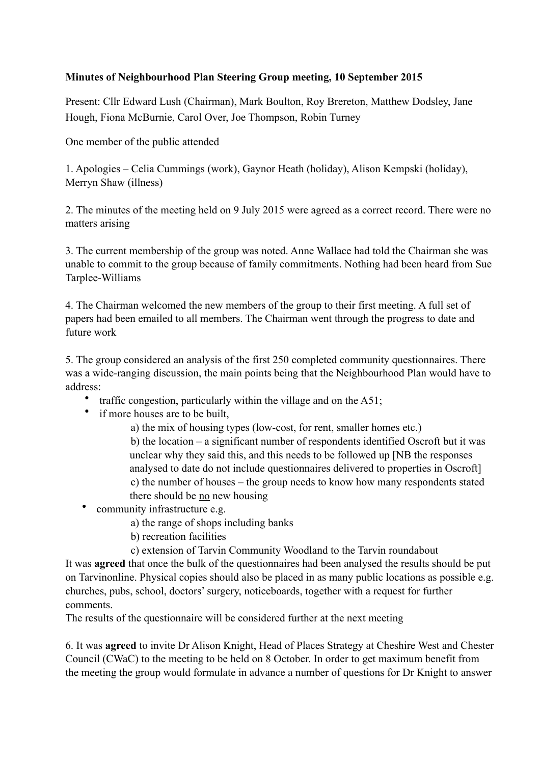## **Minutes of Neighbourhood Plan Steering Group meeting, 10 September 2015**

Present: Cllr Edward Lush (Chairman), Mark Boulton, Roy Brereton, Matthew Dodsley, Jane Hough, Fiona McBurnie, Carol Over, Joe Thompson, Robin Turney

One member of the public attended

1. Apologies – Celia Cummings (work), Gaynor Heath (holiday), Alison Kempski (holiday), Merryn Shaw (illness)

2. The minutes of the meeting held on 9 July 2015 were agreed as a correct record. There were no matters arising

3. The current membership of the group was noted. Anne Wallace had told the Chairman she was unable to commit to the group because of family commitments. Nothing had been heard from Sue Tarplee-Williams

4. The Chairman welcomed the new members of the group to their first meeting. A full set of papers had been emailed to all members. The Chairman went through the progress to date and future work

5. The group considered an analysis of the first 250 completed community questionnaires. There was a wide-ranging discussion, the main points being that the Neighbourhood Plan would have to address:

- traffic congestion, particularly within the village and on the A51;
- if more houses are to be built,

a) the mix of housing types (low-cost, for rent, smaller homes etc.) b) the location – a significant number of respondents identified Oscroft but it was unclear why they said this, and this needs to be followed up [NB the responses analysed to date do not include questionnaires delivered to properties in Oscroft] c) the number of houses – the group needs to know how many respondents stated there should be no new housing

- community infrastructure e.g.
	- a) the range of shops including banks
	- b) recreation facilities
	- c) extension of Tarvin Community Woodland to the Tarvin roundabout

It was **agreed** that once the bulk of the questionnaires had been analysed the results should be put on Tarvinonline. Physical copies should also be placed in as many public locations as possible e.g. churches, pubs, school, doctors' surgery, noticeboards, together with a request for further comments.

The results of the questionnaire will be considered further at the next meeting

6. It was **agreed** to invite Dr Alison Knight, Head of Places Strategy at Cheshire West and Chester Council (CWaC) to the meeting to be held on 8 October. In order to get maximum benefit from the meeting the group would formulate in advance a number of questions for Dr Knight to answer